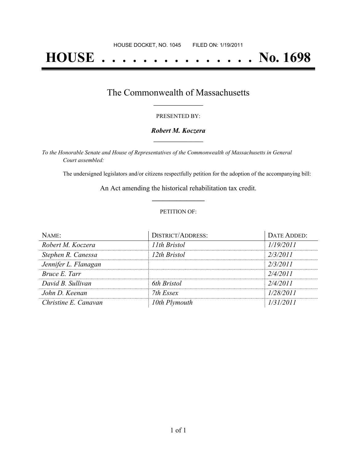# **HOUSE . . . . . . . . . . . . . . . No. 1698**

### The Commonwealth of Massachusetts **\_\_\_\_\_\_\_\_\_\_\_\_\_\_\_\_\_**

#### PRESENTED BY:

#### *Robert M. Koczera* **\_\_\_\_\_\_\_\_\_\_\_\_\_\_\_\_\_**

*To the Honorable Senate and House of Representatives of the Commonwealth of Massachusetts in General Court assembled:*

The undersigned legislators and/or citizens respectfully petition for the adoption of the accompanying bill:

An Act amending the historical rehabilitation tax credit. **\_\_\_\_\_\_\_\_\_\_\_\_\_\_\_**

#### PETITION OF:

| NAME:                | <b>DISTRICT/ADDRESS:</b> | DATE ADDED: |
|----------------------|--------------------------|-------------|
| Robert M. Koczera    | 11th Bristol             | 1/19/2011   |
| Stephen R. Canessa   | 12th Bristol             | 2/3/2011    |
| Jennifer L. Flanagan |                          | 2/3/2011    |
| Bruce E. Tarr        |                          | 2/4/2011    |
| David B. Sullivan    | 6th Bristol              | 2/4/2011    |
| John D. Keenan       | 7th Essex                | 1/28/2011   |
| Christine E. Canavan | 10th Plymouth            | 1/31/2011   |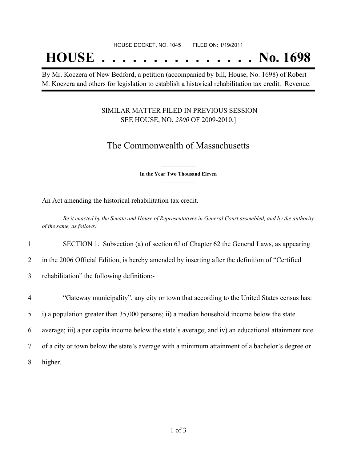## **HOUSE . . . . . . . . . . . . . . . No. 1698**

By Mr. Koczera of New Bedford, a petition (accompanied by bill, House, No. 1698) of Robert M. Koczera and others for legislation to establish a historical rehabilitation tax credit. Revenue.

#### [SIMILAR MATTER FILED IN PREVIOUS SESSION SEE HOUSE, NO. *2800* OF 2009-2010.]

## The Commonwealth of Massachusetts

**\_\_\_\_\_\_\_\_\_\_\_\_\_\_\_ In the Year Two Thousand Eleven \_\_\_\_\_\_\_\_\_\_\_\_\_\_\_**

An Act amending the historical rehabilitation tax credit.

Be it enacted by the Senate and House of Representatives in General Court assembled, and by the authority *of the same, as follows:*

1 SECTION 1. Subsection (a) of section 6J of Chapter 62 the General Laws, as appearing

2 in the 2006 Official Edition, is hereby amended by inserting after the definition of "Certified

3 rehabilitation" the following definition:-

 "Gateway municipality", any city or town that according to the United States census has: i) a population greater than 35,000 persons; ii) a median household income below the state average; iii) a per capita income below the state's average; and iv) an educational attainment rate of a city or town below the state's average with a minimum attainment of a bachelor's degree or 8 higher.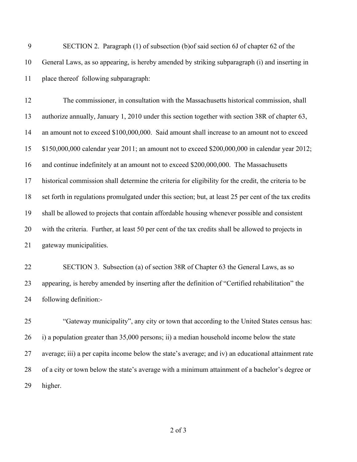SECTION 2. Paragraph (1) of subsection (b)of said section 6J of chapter 62 of the General Laws, as so appearing, is hereby amended by striking subparagraph (i) and inserting in place thereof following subparagraph:

 The commissioner, in consultation with the Massachusetts historical commission, shall authorize annually, January 1, 2010 under this section together with section 38R of chapter 63, 14 an amount not to exceed \$100,000,000. Said amount shall increase to an amount not to exceed \$150,000,000 calendar year 2011; an amount not to exceed \$200,000,000 in calendar year 2012; and continue indefinitely at an amount not to exceed \$200,000,000. The Massachusetts historical commission shall determine the criteria for eligibility for the credit, the criteria to be set forth in regulations promulgated under this section; but, at least 25 per cent of the tax credits shall be allowed to projects that contain affordable housing whenever possible and consistent with the criteria. Further, at least 50 per cent of the tax credits shall be allowed to projects in gateway municipalities.

 SECTION 3. Subsection (a) of section 38R of Chapter 63 the General Laws, as so appearing, is hereby amended by inserting after the definition of "Certified rehabilitation" the following definition:-

 "Gateway municipality", any city or town that according to the United States census has: i) a population greater than 35,000 persons; ii) a median household income below the state average; iii) a per capita income below the state's average; and iv) an educational attainment rate of a city or town below the state's average with a minimum attainment of a bachelor's degree or higher.

of 3